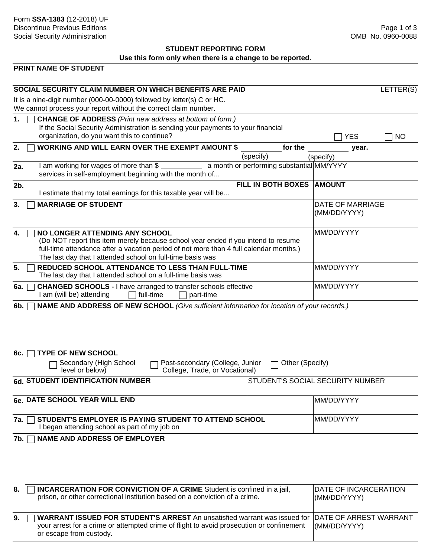# **STUDENT REPORTING FORM Use this form only when there is a change to be reported.**

# **PRINT NAME OF STUDENT**

| SOCIAL SECURITY CLAIM NUMBER ON WHICH BENEFITS ARE PAID                                                                                                                                                                                                                           |                                                        |                                         | LETTER(S) |  |
|-----------------------------------------------------------------------------------------------------------------------------------------------------------------------------------------------------------------------------------------------------------------------------------|--------------------------------------------------------|-----------------------------------------|-----------|--|
| It is a nine-digit number (000-00-0000) followed by letter(s) C or HC.<br>We cannot process your report without the correct claim number.                                                                                                                                         |                                                        |                                         |           |  |
| <b>CHANGE OF ADDRESS</b> (Print new address at bottom of form.)<br>1.<br>If the Social Security Administration is sending your payments to your financial<br>organization, do you want this to continue?                                                                          |                                                        | <b>YES</b>                              | <b>NO</b> |  |
| <b>WORKING AND WILL EARN OVER THE EXEMPT AMOUNT \$</b><br>2.                                                                                                                                                                                                                      | for the                                                | year.                                   |           |  |
| I am working for wages of more than \$<br>2a.<br>services in self-employment beginning with the month of                                                                                                                                                                          | (specify)<br>a month or performing substantial MM/YYYY | (specify)                               |           |  |
| 2b.<br>I estimate that my total earnings for this taxable year will be                                                                                                                                                                                                            | FILL IN BOTH BOXES                                     | <b>AMOUNT</b>                           |           |  |
| <b>MARRIAGE OF STUDENT</b><br>3.                                                                                                                                                                                                                                                  |                                                        | <b>DATE OF MARRIAGE</b><br>(MM/DD/YYYY) |           |  |
| NO LONGER ATTENDING ANY SCHOOL<br>4.<br>(Do NOT report this item merely because school year ended if you intend to resume<br>full-time attendance after a vacation period of not more than 4 full calendar months.)<br>The last day that I attended school on full-time basis was |                                                        | MM/DD/YYYY                              |           |  |
| REDUCED SCHOOL ATTENDANCE TO LESS THAN FULL-TIME<br>5.<br>The last day that I attended school on a full-time basis was                                                                                                                                                            |                                                        | MM/DD/YYYY                              |           |  |
| <b>CHANGED SCHOOLS - I have arranged to transfer schools effective</b><br>6a.<br>I am (will be) attending<br>full-time<br>part-time                                                                                                                                               |                                                        | MM/DD/YYYY                              |           |  |
| NAME AND ADDRESS OF NEW SCHOOL (Give sufficient information for location of your records.)<br>6b.                                                                                                                                                                                 |                                                        |                                         |           |  |
| <b>TYPE OF NEW SCHOOL</b><br>6c.                                                                                                                                                                                                                                                  |                                                        |                                         |           |  |
| Post-secondary (College, Junior<br>Secondary (High School<br>College, Trade, or Vocational)<br>level or below)                                                                                                                                                                    | Other (Specify)                                        |                                         |           |  |
| 6d. STUDENT IDENTIFICATION NUMBER                                                                                                                                                                                                                                                 |                                                        | STUDENT'S SOCIAL SECURITY NUMBER        |           |  |
| <b>6e. DATE SCHOOL YEAR WILL END</b>                                                                                                                                                                                                                                              |                                                        | MM/DD/YYYY                              |           |  |
| STUDENT'S EMPLOYER IS PAYING STUDENT TO ATTEND SCHOOL<br>7a.<br>I began attending school as part of my job on                                                                                                                                                                     |                                                        | MM/DD/YYYY                              |           |  |
| <b>NAME AND ADDRESS OF EMPLOYER</b><br>7b.                                                                                                                                                                                                                                        |                                                        |                                         |           |  |

| 8. | <b>INCARCERATION FOR CONVICTION OF A CRIME</b> Student is confined in a jail,<br>prison, or other correctional institution based on a conviction of a crime.                                                                   | DATE OF INCARCERATION<br>(MM/DD/YYYY) |
|----|--------------------------------------------------------------------------------------------------------------------------------------------------------------------------------------------------------------------------------|---------------------------------------|
| 9. | <b>WARRANT ISSUED FOR STUDENT'S ARREST</b> An unsatisfied warrant was issued for DATE OF ARREST WARRANT<br>your arrest for a crime or attempted crime of flight to avoid prosecution or confinement<br>or escape from custody. | (MM/DD/YYYY)                          |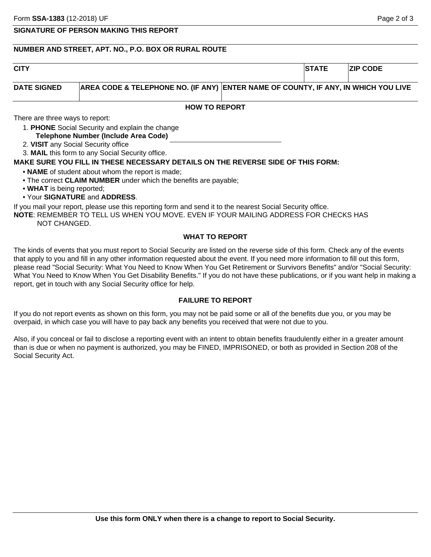## **SIGNATURE OF PERSON MAKING THIS REPORT**

# **NUMBER AND STREET, APT. NO., P.O. BOX OR RURAL ROUTE**

| <b>CITY</b>                     |                                                                                                                                                                                                                                                                        | <b>STATE</b> | <b>ZIP CODE</b> |
|---------------------------------|------------------------------------------------------------------------------------------------------------------------------------------------------------------------------------------------------------------------------------------------------------------------|--------------|-----------------|
| <b>DATE SIGNED</b>              | AREA CODE & TELEPHONE NO. (IF ANY) ENTER NAME OF COUNTY, IF ANY, IN WHICH YOU LIVE                                                                                                                                                                                     |              |                 |
|                                 | <b>HOW TO REPORT</b>                                                                                                                                                                                                                                                   |              |                 |
| There are three ways to report: |                                                                                                                                                                                                                                                                        |              |                 |
|                                 | 1. PHONE Social Security and explain the change<br>Telephone Number (Include Area Code)                                                                                                                                                                                |              |                 |
|                                 | 2. VISIT any Social Security office                                                                                                                                                                                                                                    |              |                 |
|                                 | 3. MAIL this form to any Social Security office.                                                                                                                                                                                                                       |              |                 |
|                                 | MAKE SURE YOU FILL IN THESE NECESSARY DETAILS ON THE REVERSE SIDE OF THIS FORM:                                                                                                                                                                                        |              |                 |
|                                 | • NAME of student about whom the report is made;                                                                                                                                                                                                                       |              |                 |
|                                 | • The correct CLAIM NUMBER under which the benefits are payable;                                                                                                                                                                                                       |              |                 |
| • WHAT is being reported;       |                                                                                                                                                                                                                                                                        |              |                 |
|                                 | • Your SIGNATURE and ADDRESS.                                                                                                                                                                                                                                          |              |                 |
|                                 | If you mail your report, please use this reporting form and send it to the nearest Social Security office.                                                                                                                                                             |              |                 |
| NOT CHANGED.                    | <b>NOTE: REMEMBER TO TELL US WHEN YOU MOVE. EVEN IF YOUR MAILING ADDRESS FOR CHECKS HAS</b>                                                                                                                                                                            |              |                 |
|                                 | <b>WHAT TO REPORT</b>                                                                                                                                                                                                                                                  |              |                 |
|                                 | The kinds of events that you must report to Social Security are listed on the reverse side of this form. Check any of the events<br>that apply to you and fill in any other information requested about the event. If you need more information to fill out this form, |              |                 |

please read "Social Security: What You Need to Know When You Get Retirement or Survivors Benefits" and/or "Social Security: What You Need to Know When You Get Disability Benefits." If you do not have these publications, or if you want help in making a report, get in touch with any Social Security office for help.

# **FAILURE TO REPORT**

If you do not report events as shown on this form, you may not be paid some or all of the benefits due you, or you may be overpaid, in which case you will have to pay back any benefits you received that were not due to you.

Also, if you conceal or fail to disclose a reporting event with an intent to obtain benefits fraudulently either in a greater amount than is due or when no payment is authorized, you may be FINED, IMPRISONED, or both as provided in Section 208 of the Social Security Act.